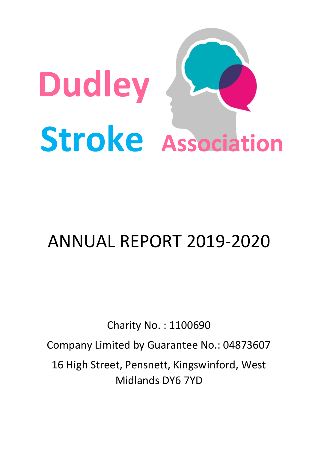

# ANNUAL REPORT 2019-2020

Charity No. : 1100690 Company Limited by Guarantee No.: 04873607 16 High Street, Pensnett, Kingswinford, West Midlands DY6 7YD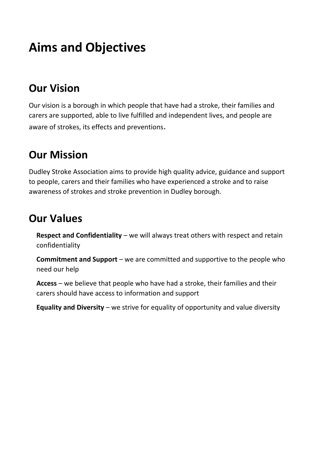# **Aims and Objectives**

### **Our Vision**

Our vision is a borough in which people that have had a stroke, their families and carers are supported, able to live fulfilled and independent lives, and people are aware of strokes, its effects and preventions.

### **Our Mission**

Dudley Stroke Association aims to provide high quality advice, guidance and support to people, carers and their families who have experienced a stroke and to raise awareness of strokes and stroke prevention in Dudley borough.

### **Our Values**

**Respect and Confidentiality** – we will always treat others with respect and retain confidentiality

**Commitment and Support** – we are committed and supportive to the people who need our help

**Access** – we believe that people who have had a stroke, their families and their carers should have access to information and support

**Equality and Diversity** – we strive for equality of opportunity and value diversity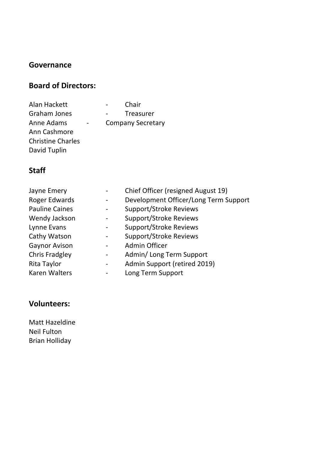#### **Governance**

#### **Board of Directors:**

| Alan Hackett             | Chair                    |
|--------------------------|--------------------------|
| Graham Jones             | <b>Treasurer</b>         |
| Anne Adams               | <b>Company Secretary</b> |
| Ann Cashmore             |                          |
| <b>Christine Charles</b> |                          |
| David Tuplin             |                          |

#### **Staff**

| Jayne Emery           |                              | Chief Officer (resigned August 19)    |
|-----------------------|------------------------------|---------------------------------------|
| <b>Roger Edwards</b>  |                              | Development Officer/Long Term Support |
| <b>Pauline Caines</b> |                              | <b>Support/Stroke Reviews</b>         |
| Wendy Jackson         |                              | <b>Support/Stroke Reviews</b>         |
| Lynne Evans           | $\qquad \qquad \blacksquare$ | <b>Support/Stroke Reviews</b>         |
| Cathy Watson          |                              | <b>Support/Stroke Reviews</b>         |
| <b>Gaynor Avison</b>  |                              | Admin Officer                         |
| <b>Chris Fradgley</b> | $\qquad \qquad \blacksquare$ | Admin/ Long Term Support              |
| Rita Taylor           |                              | Admin Support (retired 2019)          |
| <b>Karen Walters</b>  |                              | Long Term Support                     |
|                       |                              |                                       |

#### **Volunteers:**

Matt Hazeldine Neil Fulton Brian Holliday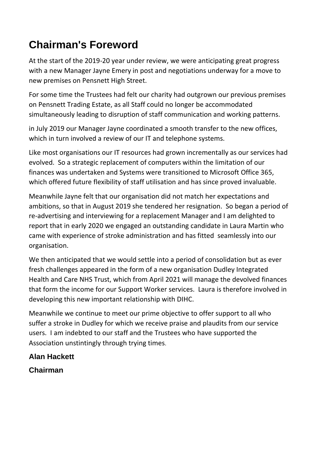## **Chairman's Foreword**

At the start of the 2019-20 year under review, we were anticipating great progress with a new Manager Jayne Emery in post and negotiations underway for a move to new premises on Pensnett High Street.

For some time the Trustees had felt our charity had outgrown our previous premises on Pensnett Trading Estate, as all Staff could no longer be accommodated simultaneously leading to disruption of staff communication and working patterns.

in July 2019 our Manager Jayne coordinated a smooth transfer to the new offices, which in turn involved a review of our IT and telephone systems.

Like most organisations our IT resources had grown incrementally as our services had evolved. So a strategic replacement of computers within the limitation of our finances was undertaken and Systems were transitioned to Microsoft Office 365, which offered future flexibility of staff utilisation and has since proved invaluable.

Meanwhile Jayne felt that our organisation did not match her expectations and ambitions, so that in August 2019 she tendered her resignation. So began a period of re-advertising and interviewing for a replacement Manager and I am delighted to report that in early 2020 we engaged an outstanding candidate in Laura Martin who came with experience of stroke administration and has fitted seamlessly into our organisation.

We then anticipated that we would settle into a period of consolidation but as ever fresh challenges appeared in the form of a new organisation Dudley Integrated Health and Care NHS Trust, which from April 2021 will manage the devolved finances that form the income for our Support Worker services. Laura is therefore involved in developing this new important relationship with DIHC.

Meanwhile we continue to meet our prime objective to offer support to all who suffer a stroke in Dudley for which we receive praise and plaudits from our service users. I am indebted to our staff and the Trustees who have supported the Association unstintingly through trying times.

#### **Alan Hackett**

#### **Chairman**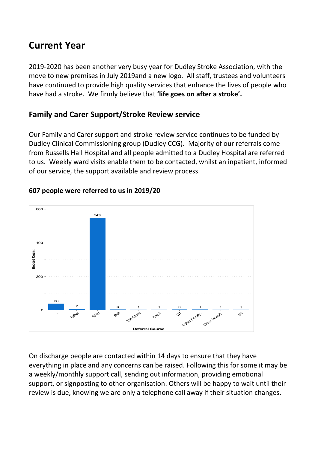### **Current Year**

2019-2020 has been another very busy year for Dudley Stroke Association, with the move to new premises in July 2019and a new logo. All staff, trustees and volunteers have continued to provide high quality services that enhance the lives of people who have had a stroke. We firmly believe that **'life goes on after a stroke'.**

#### **Family and Carer Support/Stroke Review service**

Our Family and Carer support and stroke review service continues to be funded by Dudley Clinical Commissioning group (Dudley CCG). Majority of our referrals come from Russells Hall Hospital and all people admitted to a Dudley Hospital are referred to us. Weekly ward visits enable them to be contacted, whilst an inpatient, informed of our service, the support available and review process.



#### **607 people were referred to us in 2019/20**

On discharge people are contacted within 14 days to ensure that they have everything in place and any concerns can be raised. Following this for some it may be a weekly/monthly support call, sending out information, providing emotional support, or signposting to other organisation. Others will be happy to wait until their review is due, knowing we are only a telephone call away if their situation changes.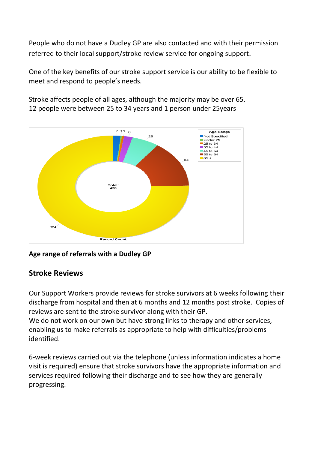People who do not have a Dudley GP are also contacted and with their permission referred to their local support/stroke review service for ongoing support.

One of the key benefits of our stroke support service is our ability to be flexible to meet and respond to people's needs.



Stroke affects people of all ages, although the majority may be over 65, 12 people were between 25 to 34 years and 1 person under 25years

#### **Age range of referrals with a Dudley GP**

#### **Stroke Reviews**

Our Support Workers provide reviews for stroke survivors at 6 weeks following their discharge from hospital and then at 6 months and 12 months post stroke. Copies of reviews are sent to the stroke survivor along with their GP. We do not work on our own but have strong links to therapy and other services, enabling us to make referrals as appropriate to help with difficulties/problems

identified.

6-week reviews carried out via the telephone (unless information indicates a home visit is required) ensure that stroke survivors have the appropriate information and services required following their discharge and to see how they are generally progressing.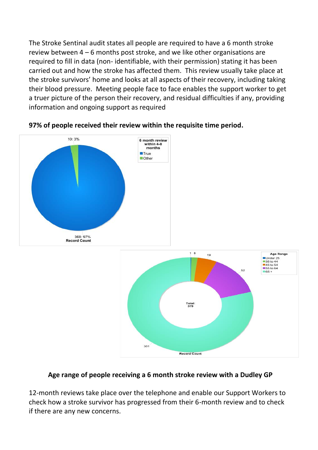The Stroke Sentinal audit states all people are required to have a 6 month stroke review between 4 – 6 months post stroke, and we like other organisations are required to fill in data (non- identifiable, with their permission) stating it has been carried out and how the stroke has affected them. This review usually take place at the stroke survivors' home and looks at all aspects of their recovery, including taking their blood pressure. Meeting people face to face enables the support worker to get a truer picture of the person their recovery, and residual difficulties if any, providing information and ongoing support as required



#### **97% of people received their review within the requisite time period.**



#### **Age range of people receiving a 6 month stroke review with a Dudley GP**

12-month reviews take place over the telephone and enable our Support Workers to check how a stroke survivor has progressed from their 6-month review and to check if there are any new concerns.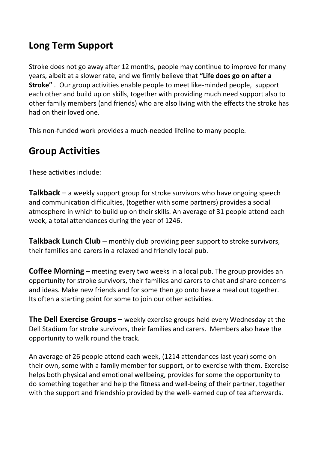### **Long Term Support**

Stroke does not go away after 12 months, people may continue to improve for many years, albeit at a slower rate, and we firmly believe that **"Life does go on after a Stroke"** . Our group activities enable people to meet like-minded people, support each other and build up on skills, together with providing much need support also to other family members (and friends) who are also living with the effects the stroke has had on their loved one.

This non-funded work provides a much-needed lifeline to many people.

### **Group Activities**

These activities include:

**Talkback** – a weekly support group for stroke survivors who have ongoing speech and communication difficulties, (together with some partners) provides a social atmosphere in which to build up on their skills. An average of 31 people attend each week, a total attendances during the year of 1246.

**Talkback Lunch Club** – monthly club providing peer support to stroke survivors, their families and carers in a relaxed and friendly local pub.

**Coffee Morning** – meeting every two weeks in a local pub. The group provides an opportunity for stroke survivors, their families and carers to chat and share concerns and ideas. Make new friends and for some then go onto have a meal out together. Its often a starting point for some to join our other activities.

**The Dell Exercise Groups** – weekly exercise groups held every Wednesday at the Dell Stadium for stroke survivors, their families and carers. Members also have the opportunity to walk round the track.

An average of 26 people attend each week, (1214 attendances last year) some on their own, some with a family member for support, or to exercise with them. Exercise helps both physical and emotional wellbeing, provides for some the opportunity to do something together and help the fitness and well-being of their partner, together with the support and friendship provided by the well- earned cup of tea afterwards.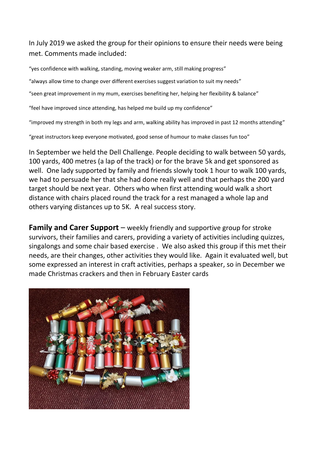In July 2019 we asked the group for their opinions to ensure their needs were being met. Comments made included:

"yes confidence with walking, standing, moving weaker arm, still making progress"

"always allow time to change over different exercises suggest variation to suit my needs"

"seen great improvement in my mum, exercises benefiting her, helping her flexibility & balance"

"feel have improved since attending, has helped me build up my confidence"

"improved my strength in both my legs and arm, walking ability has improved in past 12 months attending"

"great instructors keep everyone motivated, good sense of humour to make classes fun too"

In September we held the Dell Challenge. People deciding to walk between 50 yards, 100 yards, 400 metres (a lap of the track) or for the brave 5k and get sponsored as well. One lady supported by family and friends slowly took 1 hour to walk 100 yards, we had to persuade her that she had done really well and that perhaps the 200 yard target should be next year. Others who when first attending would walk a short distance with chairs placed round the track for a rest managed a whole lap and others varying distances up to 5K. A real success story.

**Family and Carer Support** – weekly friendly and supportive group for stroke survivors, their families and carers, providing a variety of activities including quizzes, singalongs and some chair based exercise . We also asked this group if this met their needs, are their changes, other activities they would like. Again it evaluated well, but some expressed an interest in craft activities, perhaps a speaker, so in December we made Christmas crackers and then in February Easter cards

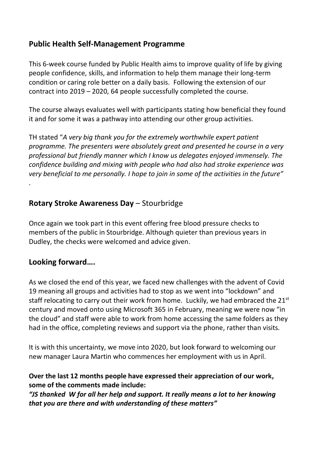#### **Public Health Self-Management Programme**

This 6-week course funded by Public Health aims to improve quality of life by giving people confidence, skills, and information to help them manage their long-term condition or caring role better on a daily basis. Following the extension of our contract into 2019 – 2020, 64 people successfully completed the course.

The course always evaluates well with participants stating how beneficial they found it and for some it was a pathway into attending our other group activities.

TH stated "*A very big thank you for the extremely worthwhile expert patient programme. The presenters were absolutely great and presented he course in a very professional but friendly manner which I know us delegates enjoyed immensely. The confidence building and mixing with people who had also had stroke experience was very beneficial to me personally. I hope to join in some of the activities in the future"*  .

#### **Rotary Stroke Awareness Day** – Stourbridge

Once again we took part in this event offering free blood pressure checks to members of the public in Stourbridge. Although quieter than previous years in Dudley, the checks were welcomed and advice given.

#### **Looking forward….**

As we closed the end of this year, we faced new challenges with the advent of Covid 19 meaning all groups and activities had to stop as we went into "lockdown" and staff relocating to carry out their work from home. Luckily, we had embraced the  $21^{st}$ century and moved onto using Microsoft 365 in February, meaning we were now "in the cloud" and staff were able to work from home accessing the same folders as they had in the office, completing reviews and support via the phone, rather than visits.

It is with this uncertainty, we move into 2020, but look forward to welcoming our new manager Laura Martin who commences her employment with us in April.

#### **Over the last 12 months people have expressed their appreciation of our work, some of the comments made include:**

*"JS thanked W for all her help and support. It really means a lot to her knowing that you are there and with understanding of these matters"*